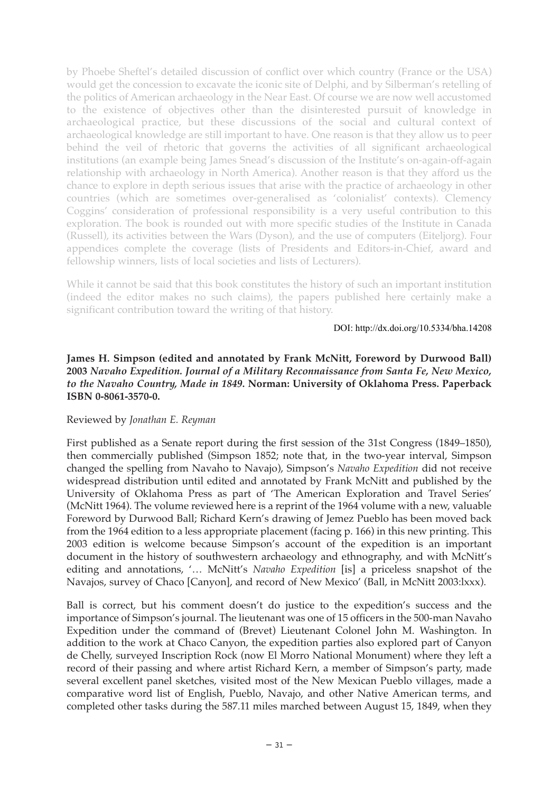by Phoebe Sheftel's detailed discussion of conflict over which country (France or the USA) would get the concession to excavate the iconic site of Delphi, and by Silberman's retelling of the politics of American archaeology in the Near East. Of course we are now well accustomed to the existence of objectives other than the disinterested pursuit of knowledge in archaeological practice, but these discussions of the social and cultural context of archaeological knowledge are still important to have. One reason is that they allow us to peer behind the veil of rhetoric that governs the activities of all significant archaeological institutions (an example being James Snead's discussion of the Institute's on-again-off-again relationship with archaeology in North America). Another reason is that they afford us the chance to explore in depth serious issues that arise with the practice of archaeology in other countries (which are sometimes over-generalised as 'colonialist' contexts). Clemency Coggins' consideration of professional responsibility is a very useful contribution to this exploration. The book is rounded out with more specific studies of the Institute in Canada (Russell), its activities between the Wars (Dyson), and the use of computers (Eiteljorg). Four appendices complete the coverage (lists of Presidents and Editors-in-Chief, award and fellowship winners, lists of local societies and lists of Lecturers).

While it cannot be said that this book constitutes the history of such an important institution (indeed the editor makes no such claims), the papers published here certainly make a significant contribution toward the writing of that history.

DOI: http://dx.doi.org/10.5334/bha.14208

## **James H. Simpson (edited and annotated by Frank McNitt, Foreword by Durwood Ball) 2003** *Navaho Expedition. Journal of a Military Reconnaissance from Santa Fe, New Mexico, to the Navaho Country, Made in 1849***. Norman: University of Oklahoma Press. Paperback ISBN 0-8061-3570-0.**

## Reviewed by *Jonathan E. Reyman*

First published as a Senate report during the first session of the 31st Congress (1849–1850), then commercially published (Simpson 1852; note that, in the two-year interval, Simpson changed the spelling from Navaho to Navajo), Simpson's *Navaho Expedition* did not receive widespread distribution until edited and annotated by Frank McNitt and published by the University of Oklahoma Press as part of 'The American Exploration and Travel Series' (McNitt 1964). The volume reviewed here is a reprint of the 1964 volume with a new, valuable Foreword by Durwood Ball; Richard Kern's drawing of Jemez Pueblo has been moved back from the 1964 edition to a less appropriate placement (facing p. 166) in this new printing. This 2003 edition is welcome because Simpson's account of the expedition is an important document in the history of southwestern archaeology and ethnography, and with McNitt's editing and annotations, '… McNitt's *Navaho Expedition* [is] a priceless snapshot of the Navajos, survey of Chaco [Canyon], and record of New Mexico' (Ball, in McNitt 2003:lxxx).

Ball is correct, but his comment doesn't do justice to the expedition's success and the importance of Simpson's journal. The lieutenant was one of 15 officers in the 500-man Navaho Expedition under the command of (Brevet) Lieutenant Colonel John M. Washington. In addition to the work at Chaco Canyon, the expedition parties also explored part of Canyon de Chelly, surveyed Inscription Rock (now El Morro National Monument) where they left a record of their passing and where artist Richard Kern, a member of Simpson's party, made several excellent panel sketches, visited most of the New Mexican Pueblo villages, made a comparative word list of English, Pueblo, Navajo, and other Native American terms, and completed other tasks during the 587.11 miles marched between August 15, 1849, when they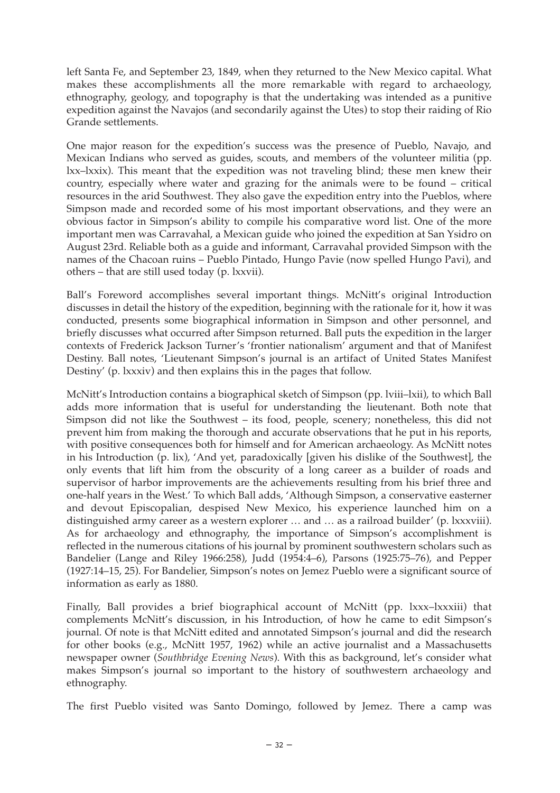left Santa Fe, and September 23, 1849, when they returned to the New Mexico capital. What makes these accomplishments all the more remarkable with regard to archaeology, ethnography, geology, and topography is that the undertaking was intended as a punitive expedition against the Navajos (and secondarily against the Utes) to stop their raiding of Rio Grande settlements.

One major reason for the expedition's success was the presence of Pueblo, Navajo, and Mexican Indians who served as guides, scouts, and members of the volunteer militia (pp. lxx–lxxix). This meant that the expedition was not traveling blind; these men knew their country, especially where water and grazing for the animals were to be found – critical resources in the arid Southwest. They also gave the expedition entry into the Pueblos, where Simpson made and recorded some of his most important observations, and they were an obvious factor in Simpson's ability to compile his comparative word list. One of the more important men was Carravahal, a Mexican guide who joined the expedition at San Ysidro on August 23rd. Reliable both as a guide and informant, Carravahal provided Simpson with the names of the Chacoan ruins – Pueblo Pintado, Hungo Pavie (now spelled Hungo Pavi), and others – that are still used today (p. lxxvii).

Ball's Foreword accomplishes several important things. McNitt's original Introduction discusses in detail the history of the expedition, beginning with the rationale for it, how it was conducted, presents some biographical information in Simpson and other personnel, and briefly discusses what occurred after Simpson returned. Ball puts the expedition in the larger contexts of Frederick Jackson Turner's 'frontier nationalism' argument and that of Manifest Destiny. Ball notes, 'Lieutenant Simpson's journal is an artifact of United States Manifest Destiny' (p. lxxxiv) and then explains this in the pages that follow.

McNitt's Introduction contains a biographical sketch of Simpson (pp. lviii–lxii), to which Ball adds more information that is useful for understanding the lieutenant. Both note that Simpson did not like the Southwest – its food, people, scenery; nonetheless, this did not prevent him from making the thorough and accurate observations that he put in his reports, with positive consequences both for himself and for American archaeology. As McNitt notes in his Introduction (p. lix), 'And yet, paradoxically [given his dislike of the Southwest], the only events that lift him from the obscurity of a long career as a builder of roads and supervisor of harbor improvements are the achievements resulting from his brief three and one-half years in the West.' To which Ball adds, 'Although Simpson, a conservative easterner and devout Episcopalian, despised New Mexico, his experience launched him on a distinguished army career as a western explorer … and … as a railroad builder' (p. lxxxviii). As for archaeology and ethnography, the importance of Simpson's accomplishment is reflected in the numerous citations of his journal by prominent southwestern scholars such as Bandelier (Lange and Riley 1966:258), Judd (1954:4–6), Parsons (1925:75–76), and Pepper (1927:14–15, 25). For Bandelier, Simpson's notes on Jemez Pueblo were a significant source of information as early as 1880.

Finally, Ball provides a brief biographical account of McNitt (pp. lxxx–lxxxiii) that complements McNitt's discussion, in his Introduction, of how he came to edit Simpson's journal. Of note is that McNitt edited and annotated Simpson's journal and did the research for other books (e.g., McNitt 1957, 1962) while an active journalist and a Massachusetts newspaper owner (*Southbridge Evening News*). With this as background, let's consider what makes Simpson's journal so important to the history of southwestern archaeology and ethnography.

The first Pueblo visited was Santo Domingo, followed by Jemez. There a camp was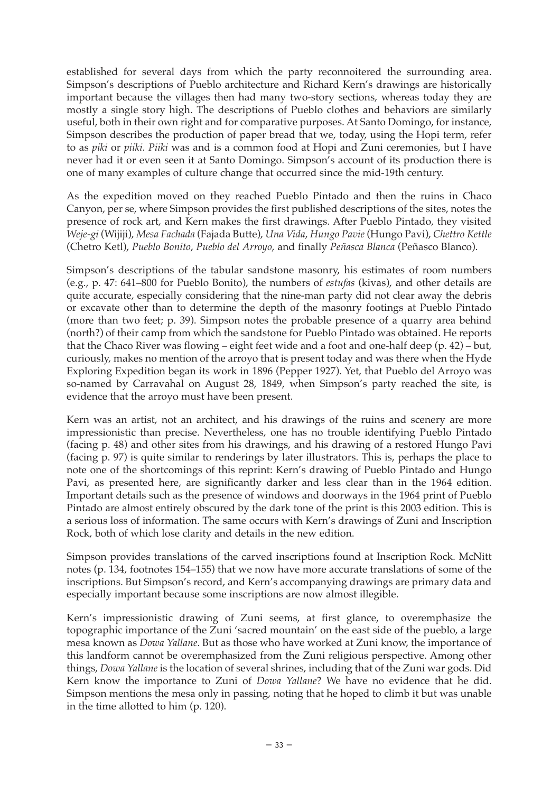established for several days from which the party reconnoitered the surrounding area. Simpson's descriptions of Pueblo architecture and Richard Kern's drawings are historically important because the villages then had many two-story sections, whereas today they are mostly a single story high. The descriptions of Pueblo clothes and behaviors are similarly useful, both in their own right and for comparative purposes. At Santo Domingo, for instance, Simpson describes the production of paper bread that we, today, using the Hopi term, refer to as *piki* or *piiki*. *Piiki* was and is a common food at Hopi and Zuni ceremonies, but I have never had it or even seen it at Santo Domingo. Simpson's account of its production there is one of many examples of culture change that occurred since the mid-19th century.

As the expedition moved on they reached Pueblo Pintado and then the ruins in Chaco Canyon, per se, where Simpson provides the first published descriptions of the sites, notes the presence of rock art, and Kern makes the first drawings. After Pueblo Pintado, they visited *Weje-gi* (Wijiji), *Mesa Fachada* (Fajada Butte), *Una Vida*, *Hungo Pavie* (Hungo Pavi), *Chettro Kettle* (Chetro Ketl), *Pueblo Bonito*, *Pueblo del Arroyo*, and finally *Peñasca Blanca* (Peñasco Blanco).

Simpson's descriptions of the tabular sandstone masonry, his estimates of room numbers (e.g., p. 47: 641–800 for Pueblo Bonito), the numbers of *estufas* (kivas), and other details are quite accurate, especially considering that the nine-man party did not clear away the debris or excavate other than to determine the depth of the masonry footings at Pueblo Pintado (more than two feet; p. 39). Simpson notes the probable presence of a quarry area behind (north?) of their camp from which the sandstone for Pueblo Pintado was obtained. He reports that the Chaco River was flowing – eight feet wide and a foot and one-half deep (p. 42) – but, curiously, makes no mention of the arroyo that is present today and was there when the Hyde Exploring Expedition began its work in 1896 (Pepper 1927). Yet, that Pueblo del Arroyo was so-named by Carravahal on August 28, 1849, when Simpson's party reached the site, is evidence that the arroyo must have been present.

Kern was an artist, not an architect, and his drawings of the ruins and scenery are more impressionistic than precise. Nevertheless, one has no trouble identifying Pueblo Pintado (facing p. 48) and other sites from his drawings, and his drawing of a restored Hungo Pavi (facing p. 97) is quite similar to renderings by later illustrators. This is, perhaps the place to note one of the shortcomings of this reprint: Kern's drawing of Pueblo Pintado and Hungo Pavi, as presented here, are significantly darker and less clear than in the 1964 edition. Important details such as the presence of windows and doorways in the 1964 print of Pueblo Pintado are almost entirely obscured by the dark tone of the print is this 2003 edition. This is a serious loss of information. The same occurs with Kern's drawings of Zuni and Inscription Rock, both of which lose clarity and details in the new edition.

Simpson provides translations of the carved inscriptions found at Inscription Rock. McNitt notes (p. 134, footnotes 154–155) that we now have more accurate translations of some of the inscriptions. But Simpson's record, and Kern's accompanying drawings are primary data and especially important because some inscriptions are now almost illegible.

Kern's impressionistic drawing of Zuni seems, at first glance, to overemphasize the topographic importance of the Zuni 'sacred mountain' on the east side of the pueblo, a large mesa known as *Dowa Yallane*. But as those who have worked at Zuni know, the importance of this landform cannot be overemphasized from the Zuni religious perspective. Among other things, *Dowa Yallane* is the location of several shrines, including that of the Zuni war gods. Did Kern know the importance to Zuni of *Dowa Yallane*? We have no evidence that he did. Simpson mentions the mesa only in passing, noting that he hoped to climb it but was unable in the time allotted to him (p. 120).